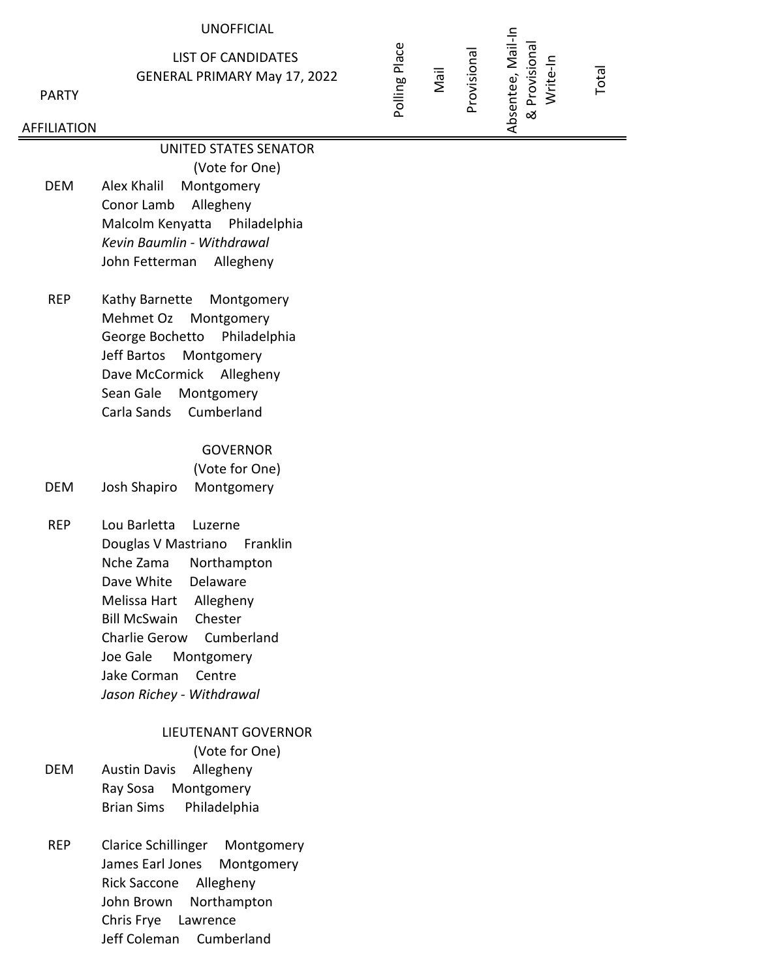#### UNOFFICIAL

LIST OF CANDIDATES GENERAL PRIMARY May 17, 2022

PARTY

#### AFFILIATION

UNITED STATES SENATOR

(Vote for One) DEM Alex Khalil Montgomery Conor Lamb Allegheny Malcolm Kenyatta Philadelphia *Kevin Baumlin - Withdrawal* John Fetterman Allegheny

REP Kathy Barnette Montgomery Mehmet Oz Montgomery George Bochetto Philadelphia Jeff Bartos Montgomery Dave McCormick Allegheny Sean Gale Montgomery Carla Sands Cumberland

#### **GOVERNOR**

(Vote for One) DEM Josh Shapiro Montgomery

REP Lou Barletta Luzerne Douglas V Mastriano Franklin Nche Zama Northampton Dave White Delaware Melissa Hart Allegheny Bill McSwain Chester Charlie Gerow Cumberland Joe Gale Montgomery Jake Corman Centre *Jason Richey - Withdrawal*

### LIEUTENANT GOVERNOR

(Vote for One) DEM Austin Davis Allegheny

- Ray Sosa Montgomery Brian Sims Philadelphia
- REP Clarice Schillinger Montgomery James Earl Jones Montgomery Rick Saccone Allegheny John Brown Northampton Chris Frye Lawrence Jeff Coleman Cumberland

# Absentee, Mail-In Absentee, Mail-In & Provisional & Provisional Provisional

Polling Place

Mail

Write-In

Total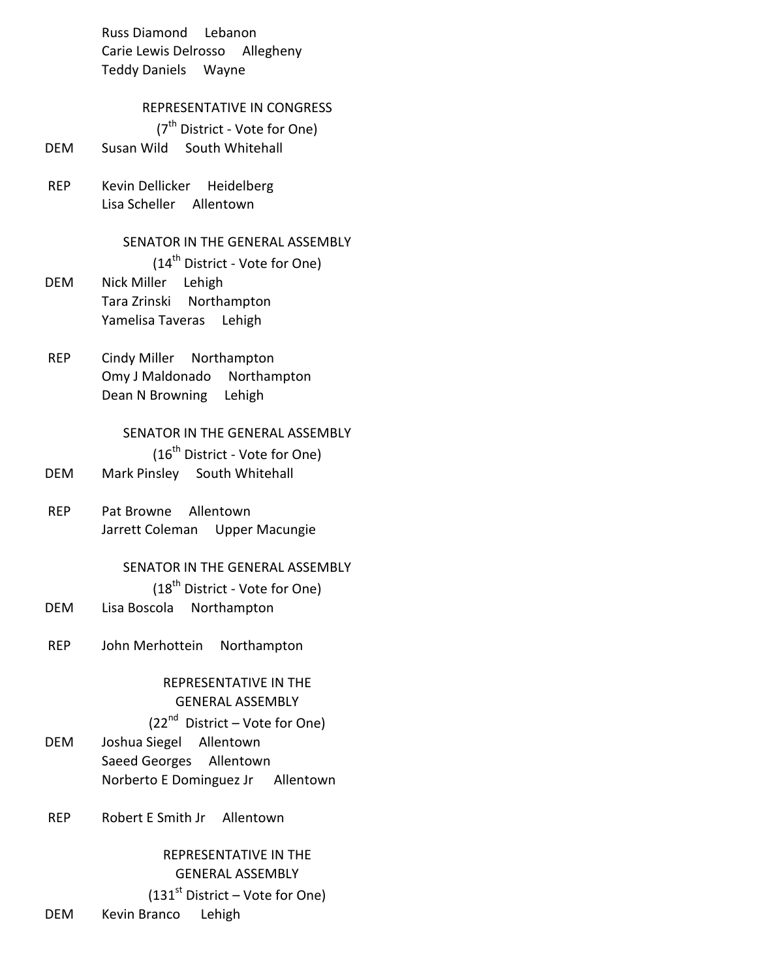Russ Diamond Lebanon Carie Lewis Delrosso Allegheny Teddy Daniels Wayne

#### REPRESENTATIVE IN CONGRESS

(7<sup>th</sup> District - Vote for One)

- DEM Susan Wild South Whitehall
- REP Kevin Dellicker Heidelberg Lisa Scheller Allentown

#### SENATOR IN THE GENERAL ASSEMBLY

- (14<sup>th</sup> District Vote for One) DEM Nick Miller Lehigh Tara Zrinski Northampton Yamelisa Taveras Lehigh
- REP Cindy Miller Northampton Omy J Maldonado Northampton Dean N Browning Lehigh

## SENATOR IN THE GENERAL ASSEMBLY

 $(16^{th}$  District - Vote for One)

- DEM Mark Pinsley South Whitehall
- REP Pat Browne Allentown Jarrett Coleman Upper Macungie

#### SENATOR IN THE GENERAL ASSEMBLY

(18<sup>th</sup> District - Vote for One)

- DEM Lisa Boscola Northampton
- REP John Merhottein Northampton

### REPRESENTATIVE IN THE GENERAL ASSEMBLY  $(22<sup>nd</sup>$  District – Vote for One)

- DEM Joshua Siegel Allentown Saeed Georges Allentown Norberto E Dominguez Jr Allentown
- REP Robert E Smith Jr Allentown

### REPRESENTATIVE IN THE GENERAL ASSEMBLY

 $(131<sup>st</sup> District - Vote for One)$ 

DEM Kevin Branco Lehigh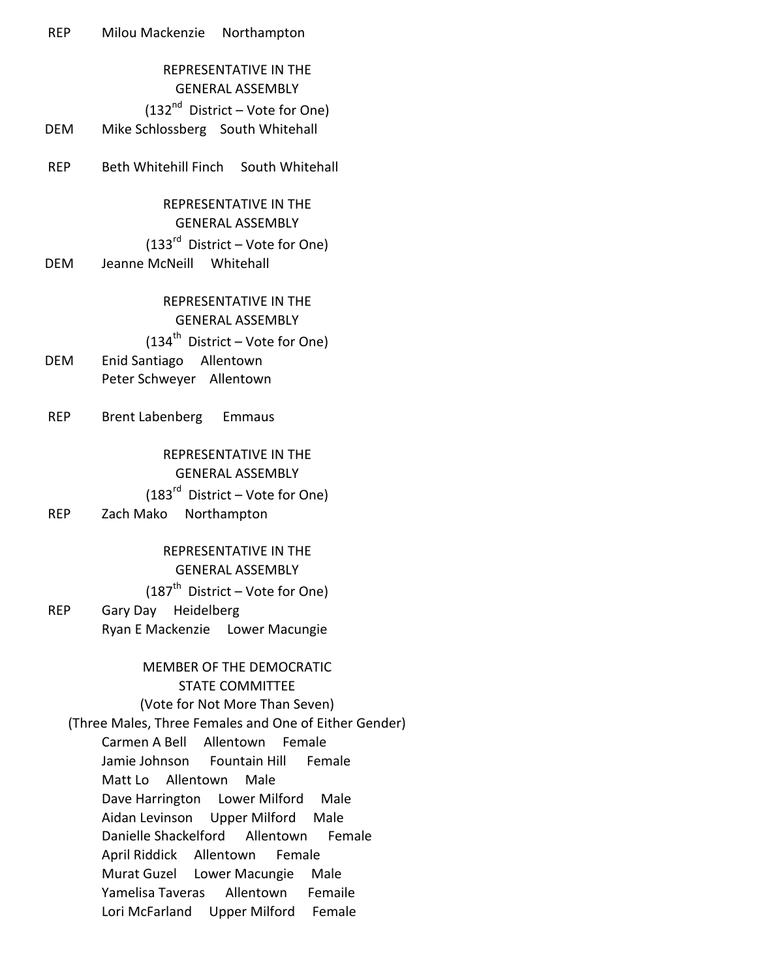## REPRESENTATIVE IN THE GENERAL ASSEMBLY  $(132<sup>nd</sup>$  District – Vote for One) DEM Mike Schlossberg South Whitehall

REP Beth Whitehill Finch South Whitehall

### REPRESENTATIVE IN THE GENERAL ASSEMBLY  $(133<sup>rd</sup>$  District – Vote for One) DEM Jeanne McNeill Whitehall

### REPRESENTATIVE IN THE GENERAL ASSEMBLY

## $(134<sup>th</sup>$  District – Vote for One) DEM Enid Santiago Allentown Peter Schweyer Allentown

REP Brent Labenberg Emmaus

### REPRESENTATIVE IN THE GENERAL ASSEMBLY  $(183<sup>rd</sup>$  District – Vote for One)

### REP Zach Mako Northampton

## REPRESENTATIVE IN THE GENERAL ASSEMBLY

### $(187<sup>th</sup>$  District – Vote for One)

REP Gary Day Heidelberg Ryan E Mackenzie Lower Macungie

## MEMBER OF THE DEMOCRATIC STATE COMMITTEE (Vote for Not More Than Seven) (Three Males, Three Females and One of Either Gender) Carmen A Bell Allentown Female Jamie Johnson Fountain Hill Female Matt Lo Allentown Male Dave Harrington Lower Milford Male

Aidan Levinson Upper Milford Male Danielle Shackelford Allentown Female

April Riddick Allentown Female

Murat Guzel Lower Macungie Male Yamelisa Taveras Allentown Femaile

Lori McFarland Upper Milford Female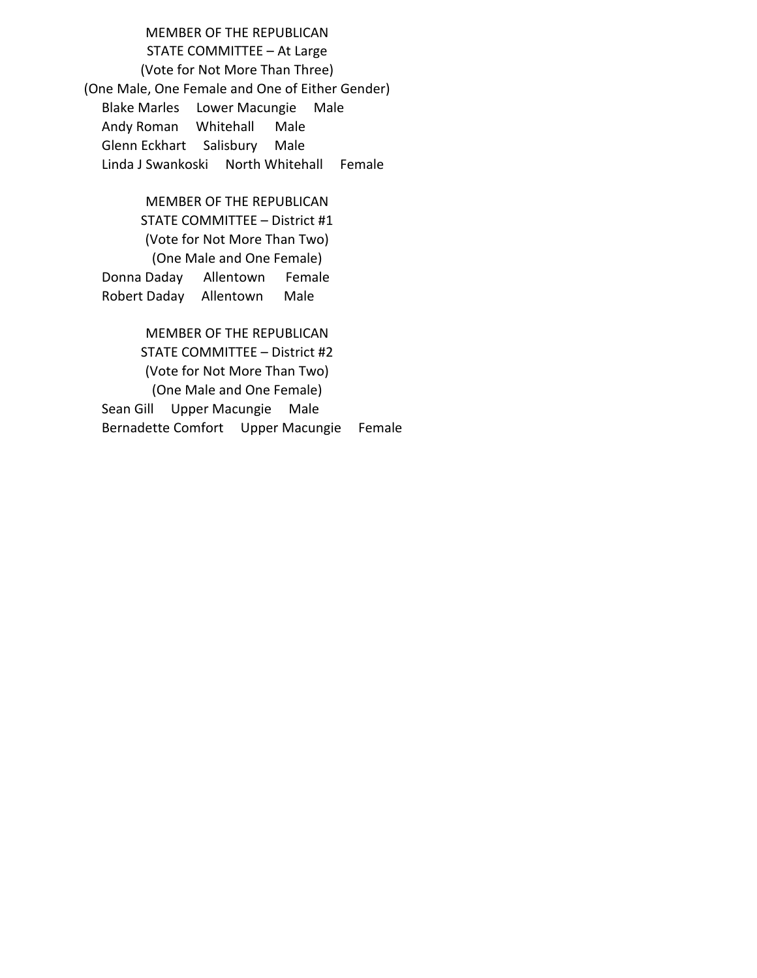MEMBER OF THE REPUBLICAN STATE COMMITTEE – At Large (Vote for Not More Than Three) (One Male, One Female and One of Either Gender) Blake Marles Lower Macungie Male Andy Roman Whitehall Male Glenn Eckhart Salisbury Male Linda J Swankoski North Whitehall Female

MEMBER OF THE REPUBLICAN STATE COMMITTEE – District #1 (Vote for Not More Than Two) (One Male and One Female) Donna Daday Allentown Female Robert Daday Allentown Male

MEMBER OF THE REPUBLICAN STATE COMMITTEE – District #2 (Vote for Not More Than Two) (One Male and One Female) Sean Gill Upper Macungie Male Bernadette Comfort Upper Macungie Female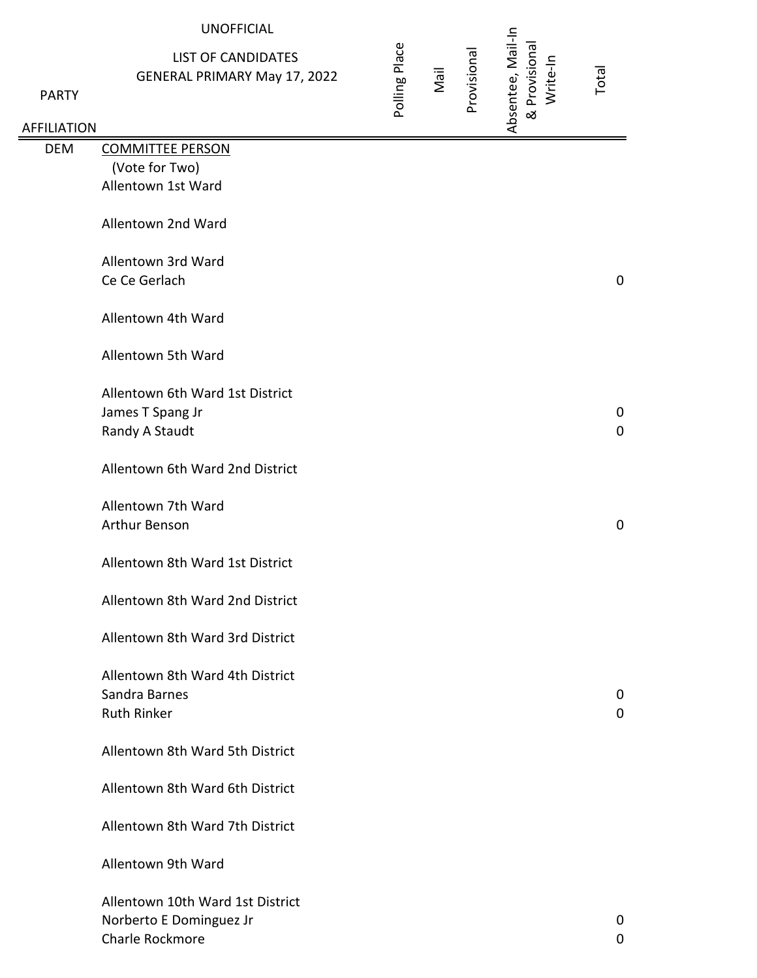|                    | <b>UNOFFICIAL</b>                                                |               |      |             |                                                |             |
|--------------------|------------------------------------------------------------------|---------------|------|-------------|------------------------------------------------|-------------|
| <b>PARTY</b>       | <b>LIST OF CANDIDATES</b><br><b>GENERAL PRIMARY May 17, 2022</b> | Polling Place | Nail | Provisional | Absentee, Mail-In<br>& Provisional<br>Write-In | Total       |
| <b>AFFILIATION</b> |                                                                  |               |      |             |                                                |             |
| <b>DEM</b>         | <b>COMMITTEE PERSON</b>                                          |               |      |             |                                                |             |
|                    | (Vote for Two)                                                   |               |      |             |                                                |             |
|                    | Allentown 1st Ward                                               |               |      |             |                                                |             |
|                    | Allentown 2nd Ward                                               |               |      |             |                                                |             |
|                    | Allentown 3rd Ward                                               |               |      |             |                                                |             |
|                    | Ce Ce Gerlach                                                    |               |      |             |                                                | $\mathbf 0$ |
|                    | Allentown 4th Ward                                               |               |      |             |                                                |             |
|                    | Allentown 5th Ward                                               |               |      |             |                                                |             |
|                    | Allentown 6th Ward 1st District                                  |               |      |             |                                                |             |
|                    | James T Spang Jr                                                 |               |      |             |                                                | $\mathbf 0$ |
|                    | Randy A Staudt                                                   |               |      |             |                                                | $\mathbf 0$ |
|                    |                                                                  |               |      |             |                                                |             |
|                    | Allentown 6th Ward 2nd District                                  |               |      |             |                                                |             |
|                    | Allentown 7th Ward<br>Arthur Benson                              |               |      |             |                                                | $\pmb{0}$   |
|                    |                                                                  |               |      |             |                                                |             |
|                    | Allentown 8th Ward 1st District                                  |               |      |             |                                                |             |
|                    | Allentown 8th Ward 2nd District                                  |               |      |             |                                                |             |
|                    | Allentown 8th Ward 3rd District                                  |               |      |             |                                                |             |
|                    | Allentown 8th Ward 4th District                                  |               |      |             |                                                |             |
|                    | Sandra Barnes                                                    |               |      |             |                                                | 0           |
|                    | <b>Ruth Rinker</b>                                               |               |      |             |                                                | $\mathbf 0$ |
|                    |                                                                  |               |      |             |                                                |             |
|                    | Allentown 8th Ward 5th District                                  |               |      |             |                                                |             |
|                    | Allentown 8th Ward 6th District                                  |               |      |             |                                                |             |
|                    | Allentown 8th Ward 7th District                                  |               |      |             |                                                |             |
|                    | Allentown 9th Ward                                               |               |      |             |                                                |             |
|                    |                                                                  |               |      |             |                                                |             |
|                    | Allentown 10th Ward 1st District                                 |               |      |             |                                                |             |
|                    | Norberto E Dominguez Jr                                          |               |      |             |                                                | 0           |
|                    | Charle Rockmore                                                  |               |      |             |                                                | 0           |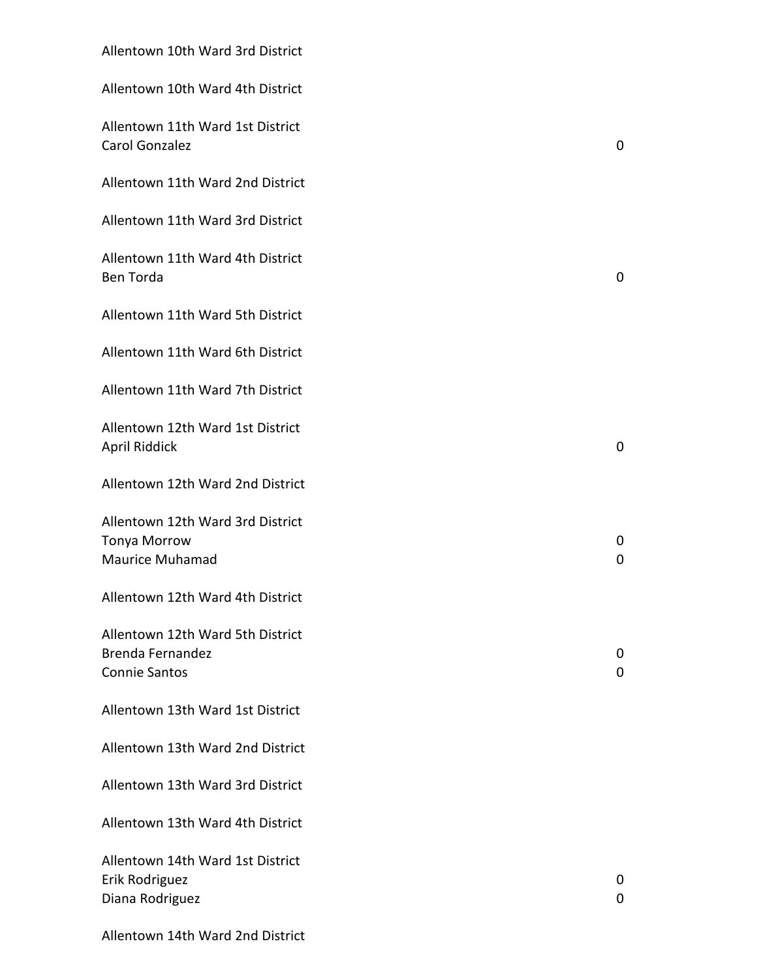| Allentown 10th Ward 3rd District                                                    |                  |
|-------------------------------------------------------------------------------------|------------------|
| Allentown 10th Ward 4th District                                                    |                  |
| Allentown 11th Ward 1st District<br>Carol Gonzalez                                  | $\mathbf 0$      |
| Allentown 11th Ward 2nd District                                                    |                  |
| Allentown 11th Ward 3rd District                                                    |                  |
| Allentown 11th Ward 4th District<br><b>Ben Torda</b>                                | 0                |
| Allentown 11th Ward 5th District                                                    |                  |
| Allentown 11th Ward 6th District                                                    |                  |
| Allentown 11th Ward 7th District                                                    |                  |
| Allentown 12th Ward 1st District<br>April Riddick                                   | $\mathbf 0$      |
| Allentown 12th Ward 2nd District                                                    |                  |
| Allentown 12th Ward 3rd District<br><b>Tonya Morrow</b><br><b>Maurice Muhamad</b>   | 0<br>0           |
| Allentown 12th Ward 4th District                                                    |                  |
| Allentown 12th Ward 5th District<br><b>Brenda Fernandez</b><br><b>Connie Santos</b> | 0<br>$\mathbf 0$ |
| Allentown 13th Ward 1st District                                                    |                  |
| Allentown 13th Ward 2nd District                                                    |                  |
| Allentown 13th Ward 3rd District                                                    |                  |
| Allentown 13th Ward 4th District                                                    |                  |
| Allentown 14th Ward 1st District<br>Erik Rodriguez<br>Diana Rodriguez               | 0<br>0           |
| Allentown 14th Ward 2nd District                                                    |                  |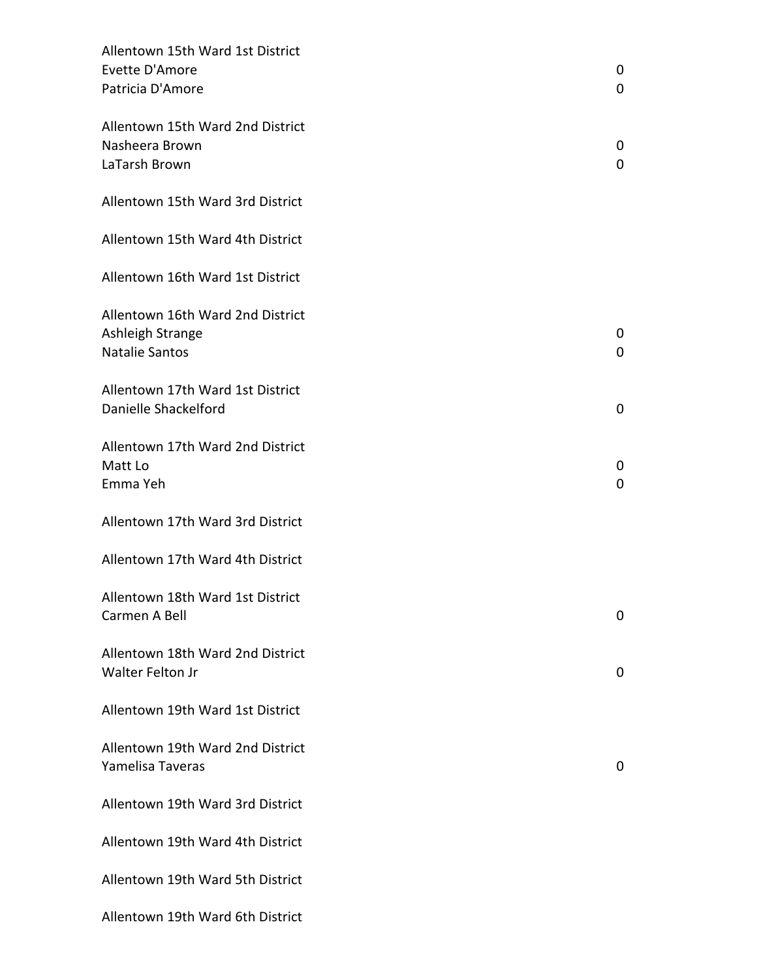| Allentown 15th Ward 1st District<br>Evette D'Amore<br>Patricia D'Amore        | 0<br>0           |
|-------------------------------------------------------------------------------|------------------|
| Allentown 15th Ward 2nd District<br>Nasheera Brown<br>LaTarsh Brown           | 0<br>0           |
| Allentown 15th Ward 3rd District                                              |                  |
| Allentown 15th Ward 4th District                                              |                  |
| Allentown 16th Ward 1st District                                              |                  |
| Allentown 16th Ward 2nd District<br>Ashleigh Strange<br><b>Natalie Santos</b> | 0<br>0           |
| Allentown 17th Ward 1st District<br>Danielle Shackelford                      | 0                |
| Allentown 17th Ward 2nd District<br>Matt Lo<br>Emma Yeh                       | 0<br>$\mathbf 0$ |
| Allentown 17th Ward 3rd District                                              |                  |
| Allentown 17th Ward 4th District                                              |                  |
| Allentown 18th Ward 1st District<br>Carmen A Bell                             | 0                |
| Allentown 18th Ward 2nd District<br>Walter Felton Jr                          | 0                |
| Allentown 19th Ward 1st District                                              |                  |
| Allentown 19th Ward 2nd District<br>Yamelisa Taveras                          | 0                |
| Allentown 19th Ward 3rd District                                              |                  |
| Allentown 19th Ward 4th District                                              |                  |
| Allentown 19th Ward 5th District                                              |                  |
| Allentown 19th Ward 6th District                                              |                  |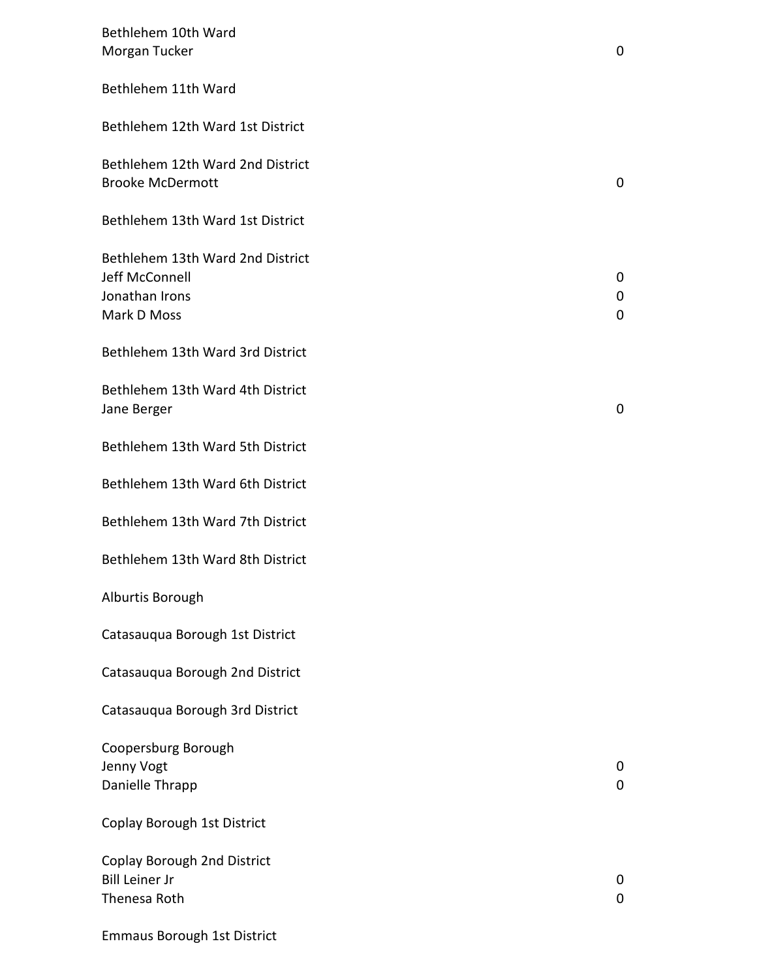| Bethlehem 10th Ward<br>Morgan Tucker                                                | 0           |
|-------------------------------------------------------------------------------------|-------------|
| Bethlehem 11th Ward                                                                 |             |
| Bethlehem 12th Ward 1st District                                                    |             |
| Bethlehem 12th Ward 2nd District<br><b>Brooke McDermott</b>                         | 0           |
| Bethlehem 13th Ward 1st District                                                    |             |
| Bethlehem 13th Ward 2nd District<br>Jeff McConnell<br>Jonathan Irons<br>Mark D Moss | 0<br>0<br>0 |
| Bethlehem 13th Ward 3rd District                                                    |             |
| Bethlehem 13th Ward 4th District<br>Jane Berger                                     | $\mathbf 0$ |
| Bethlehem 13th Ward 5th District                                                    |             |
| Bethlehem 13th Ward 6th District                                                    |             |
| Bethlehem 13th Ward 7th District                                                    |             |
| Bethlehem 13th Ward 8th District                                                    |             |
| Alburtis Borough                                                                    |             |
| Catasauqua Borough 1st District                                                     |             |
| Catasauqua Borough 2nd District                                                     |             |
| Catasauqua Borough 3rd District                                                     |             |
| Coopersburg Borough<br>Jenny Vogt<br>Danielle Thrapp                                | 0<br>0      |
| Coplay Borough 1st District                                                         |             |
| <b>Coplay Borough 2nd District</b><br><b>Bill Leiner Jr</b><br>Thenesa Roth         | 0<br>0      |
| <b>Emmaus Borough 1st District</b>                                                  |             |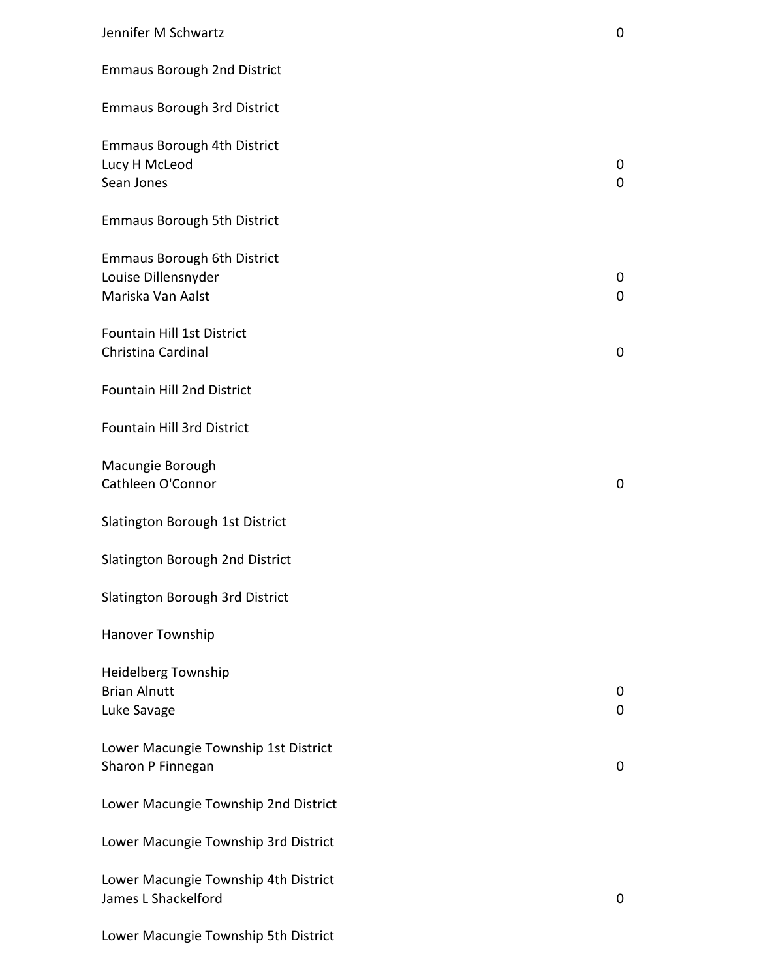| Jennifer M Schwartz                                                            | $\mathbf 0$ |
|--------------------------------------------------------------------------------|-------------|
| <b>Emmaus Borough 2nd District</b>                                             |             |
| <b>Emmaus Borough 3rd District</b>                                             |             |
| <b>Emmaus Borough 4th District</b><br>Lucy H McLeod<br>Sean Jones              | 0<br>0      |
| <b>Emmaus Borough 5th District</b>                                             |             |
| <b>Emmaus Borough 6th District</b><br>Louise Dillensnyder<br>Mariska Van Aalst | 0<br>0      |
| Fountain Hill 1st District<br>Christina Cardinal                               | $\pmb{0}$   |
| <b>Fountain Hill 2nd District</b>                                              |             |
| Fountain Hill 3rd District                                                     |             |
| Macungie Borough<br>Cathleen O'Connor                                          | 0           |
| Slatington Borough 1st District                                                |             |
| Slatington Borough 2nd District                                                |             |
| Slatington Borough 3rd District                                                |             |
| Hanover Township                                                               |             |
| <b>Heidelberg Township</b><br><b>Brian Alnutt</b><br>Luke Savage               | 0<br>0      |
| Lower Macungie Township 1st District<br>Sharon P Finnegan                      | 0           |
| Lower Macungie Township 2nd District                                           |             |
| Lower Macungie Township 3rd District                                           |             |
| Lower Macungie Township 4th District<br>James L Shackelford                    | 0           |
|                                                                                |             |

Lower Macungie Township 5th District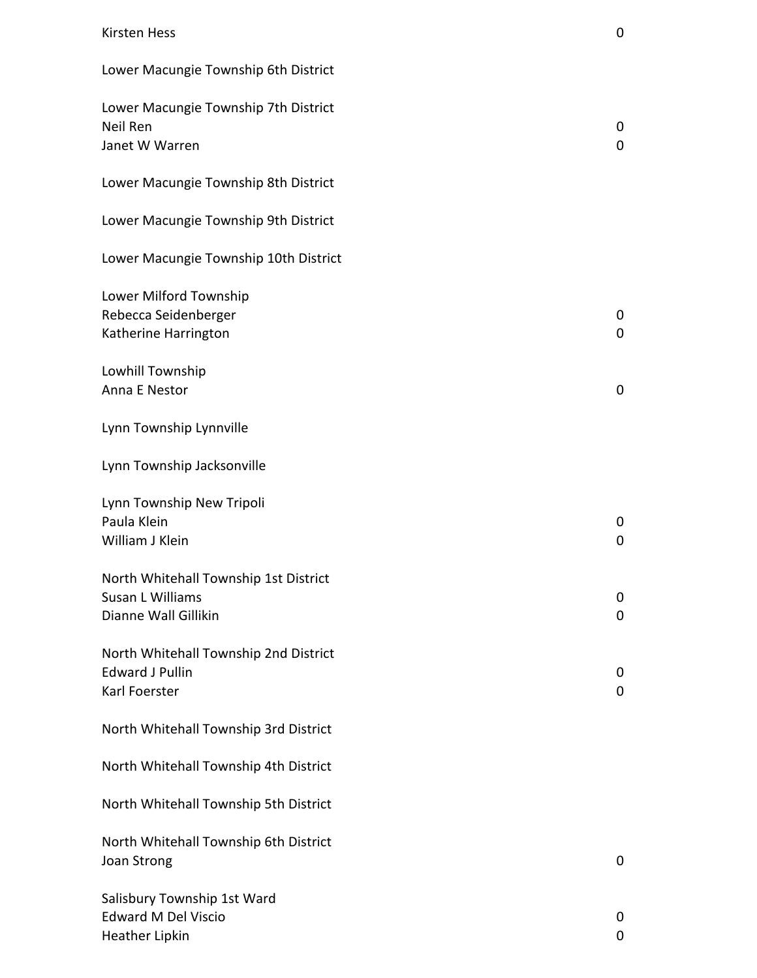### Kirsten Hess 0

| Lower Macungie Township 6th District                                               |                     |
|------------------------------------------------------------------------------------|---------------------|
| Lower Macungie Township 7th District<br>Neil Ren<br>Janet W Warren                 | 0<br>$\overline{0}$ |
| Lower Macungie Township 8th District                                               |                     |
| Lower Macungie Township 9th District                                               |                     |
| Lower Macungie Township 10th District                                              |                     |
| Lower Milford Township<br>Rebecca Seidenberger<br>Katherine Harrington             | 0<br>$\overline{0}$ |
| Lowhill Township<br>Anna E Nestor                                                  | 0                   |
| Lynn Township Lynnville                                                            |                     |
| Lynn Township Jacksonville                                                         |                     |
| Lynn Township New Tripoli<br>Paula Klein<br>William J Klein                        | 0<br>0              |
| North Whitehall Township 1st District<br>Susan L Williams<br>Dianne Wall Gillikin  | 0<br>0              |
| North Whitehall Township 2nd District<br><b>Edward J Pullin</b><br>Karl Foerster   | 0<br>0              |
| North Whitehall Township 3rd District                                              |                     |
| North Whitehall Township 4th District                                              |                     |
| North Whitehall Township 5th District                                              |                     |
| North Whitehall Township 6th District<br>Joan Strong                               | 0                   |
| Salisbury Township 1st Ward<br><b>Edward M Del Viscio</b><br><b>Heather Lipkin</b> | 0<br>0              |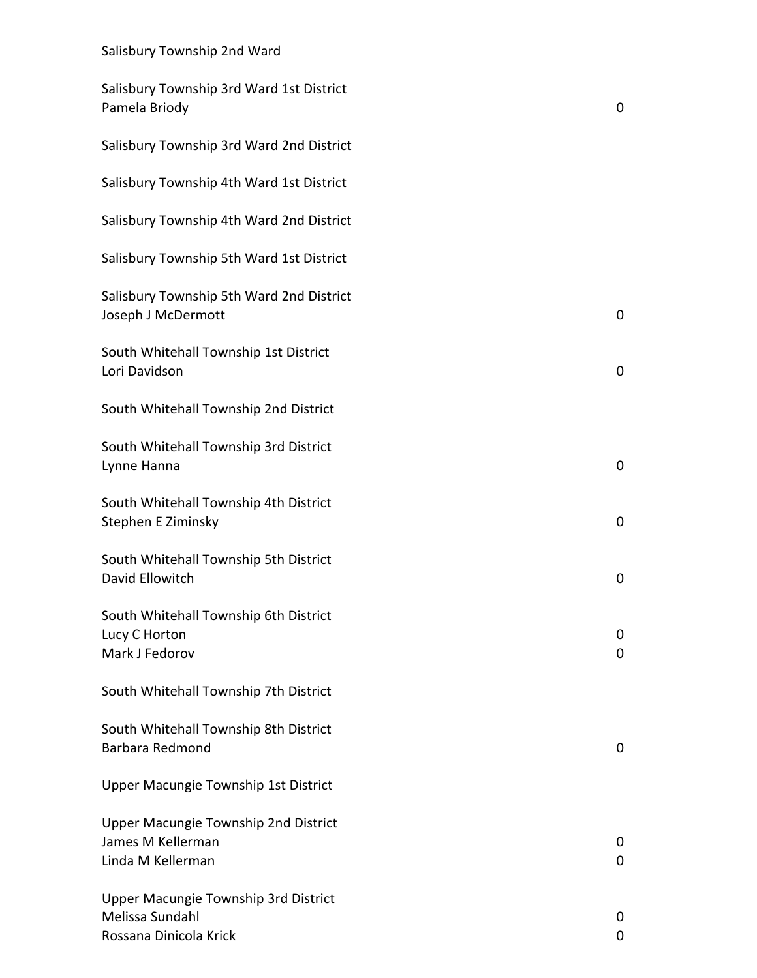| Salisbury Township 3rd Ward 1st District<br>Pamela Briody                         | 0           |
|-----------------------------------------------------------------------------------|-------------|
| Salisbury Township 3rd Ward 2nd District                                          |             |
| Salisbury Township 4th Ward 1st District                                          |             |
| Salisbury Township 4th Ward 2nd District                                          |             |
| Salisbury Township 5th Ward 1st District                                          |             |
| Salisbury Township 5th Ward 2nd District<br>Joseph J McDermott                    | 0           |
| South Whitehall Township 1st District<br>Lori Davidson                            | $\mathbf 0$ |
| South Whitehall Township 2nd District                                             |             |
| South Whitehall Township 3rd District<br>Lynne Hanna                              | $\pmb{0}$   |
| South Whitehall Township 4th District<br>Stephen E Ziminsky                       | 0           |
| South Whitehall Township 5th District<br>David Ellowitch                          | 0           |
| South Whitehall Township 6th District<br>Lucy C Horton<br>Mark J Fedorov          | 0<br>0      |
| South Whitehall Township 7th District                                             |             |
| South Whitehall Township 8th District<br>Barbara Redmond                          | 0           |
| Upper Macungie Township 1st District                                              |             |
| Upper Macungie Township 2nd District<br>James M Kellerman<br>Linda M Kellerman    | 0<br>0      |
| Upper Macungie Township 3rd District<br>Melissa Sundahl<br>Rossana Dinicola Krick | 0<br>0      |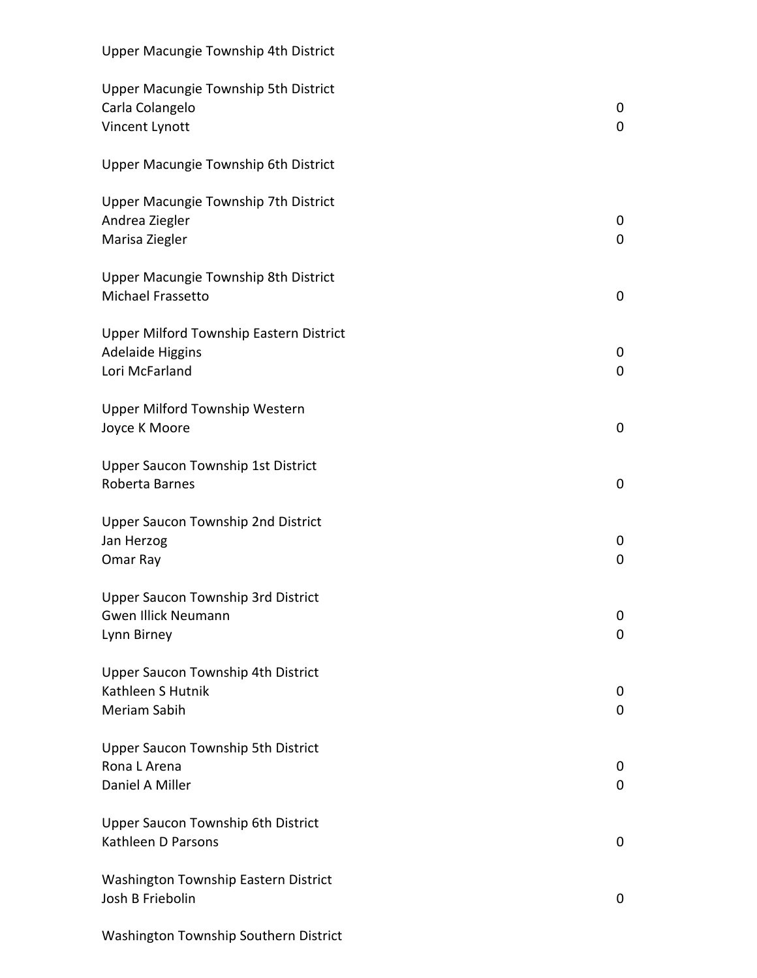| Upper Macungie Township 4th District                                                 |        |
|--------------------------------------------------------------------------------------|--------|
| Upper Macungie Township 5th District<br>Carla Colangelo<br>Vincent Lynott            | 0<br>0 |
| Upper Macungie Township 6th District                                                 |        |
| Upper Macungie Township 7th District<br>Andrea Ziegler<br>Marisa Ziegler             | 0<br>0 |
| Upper Macungie Township 8th District<br>Michael Frassetto                            | 0      |
| Upper Milford Township Eastern District<br><b>Adelaide Higgins</b><br>Lori McFarland | 0<br>0 |
| Upper Milford Township Western<br>Joyce K Moore                                      | 0      |
| Upper Saucon Township 1st District<br>Roberta Barnes                                 | 0      |
| Upper Saucon Township 2nd District<br>Jan Herzog<br>Omar Ray                         | 0<br>0 |
| <b>Upper Saucon Township 3rd District</b><br>Gwen Illick Neumann<br>Lynn Birney      | 0<br>0 |
| Upper Saucon Township 4th District<br>Kathleen S Hutnik<br>Meriam Sabih              | 0<br>0 |
| <b>Upper Saucon Township 5th District</b><br>Rona L Arena<br>Daniel A Miller         | 0<br>0 |
| Upper Saucon Township 6th District<br>Kathleen D Parsons                             | 0      |
| Washington Township Eastern District<br>Josh B Friebolin                             | 0      |
| Washington Township Southern District                                                |        |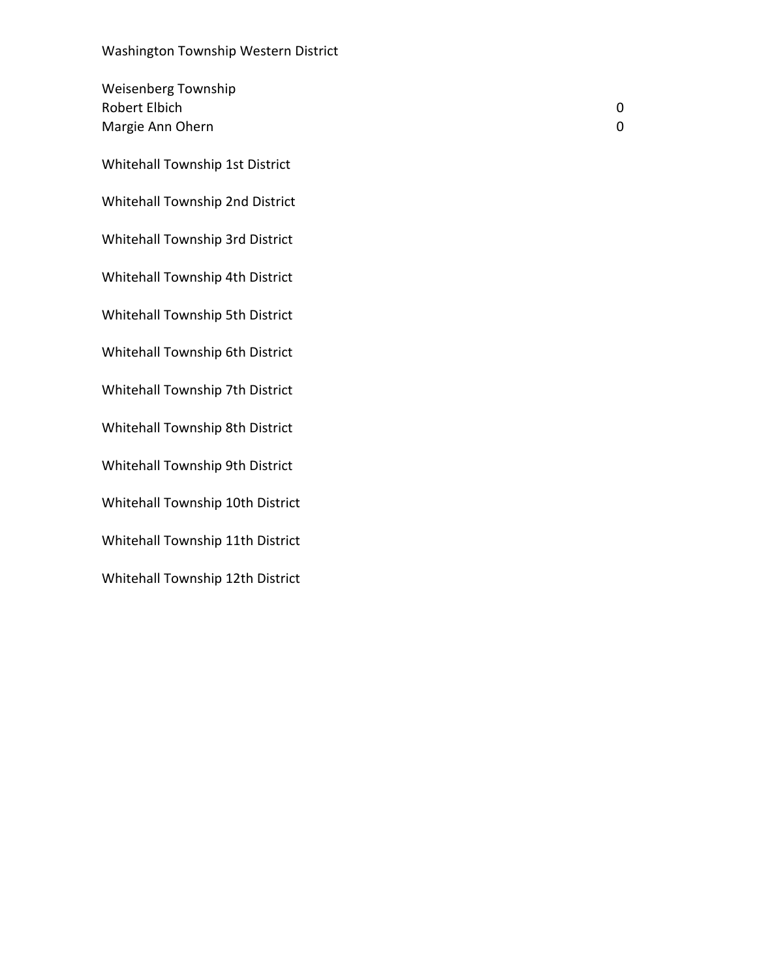| <b>Weisenberg Township</b><br><b>Robert Elbich</b><br>Margie Ann Ohern | 0<br>0 |
|------------------------------------------------------------------------|--------|
| Whitehall Township 1st District                                        |        |
| Whitehall Township 2nd District                                        |        |
| Whitehall Township 3rd District                                        |        |
| Whitehall Township 4th District                                        |        |
| Whitehall Township 5th District                                        |        |
| Whitehall Township 6th District                                        |        |
| Whitehall Township 7th District                                        |        |
| Whitehall Township 8th District                                        |        |
| Whitehall Township 9th District                                        |        |
| Whitehall Township 10th District                                       |        |
| Whitehall Township 11th District                                       |        |
| Whitehall Township 12th District                                       |        |
|                                                                        |        |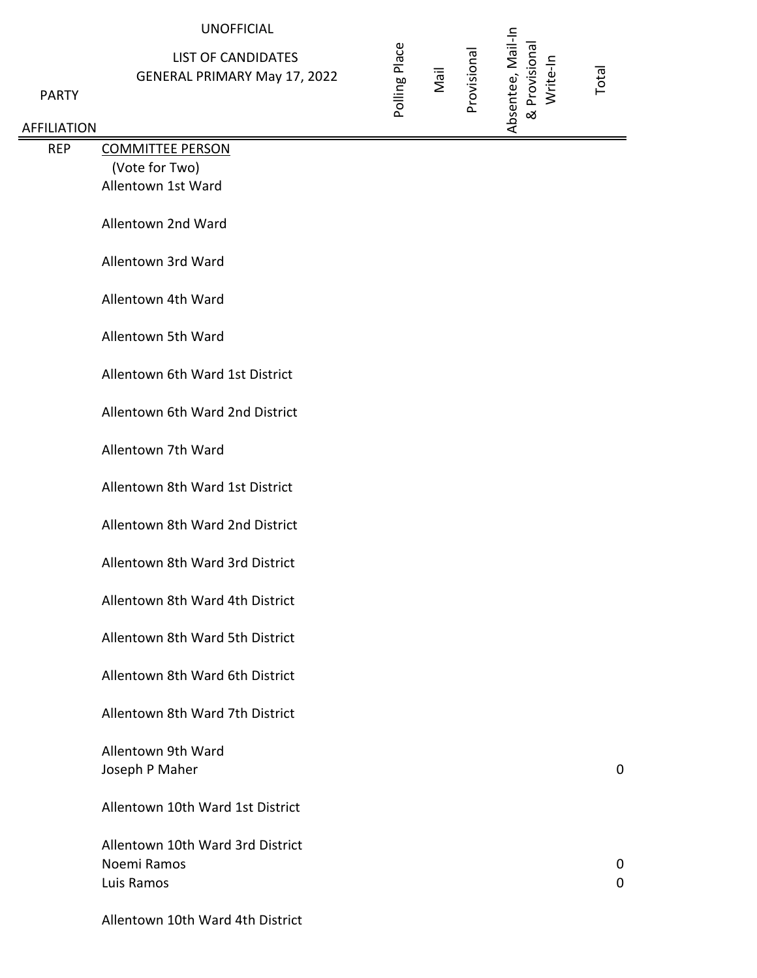### UNOFFICIAL

## LIST OF CANDIDATES GENERAL PRIMARY May 17, 2022

 $\mathsf{P}$ 

#### AFFI

|                                 | <b>UNOFFICIAL</b>                                                |               |      |             |                                                |       |
|---------------------------------|------------------------------------------------------------------|---------------|------|-------------|------------------------------------------------|-------|
| <b>PARTY</b><br><b>ILIATION</b> | <b>LIST OF CANDIDATES</b><br><b>GENERAL PRIMARY May 17, 2022</b> | Polling Place | Nail | Provisional | Absentee, Mail-In<br>& Provisional<br>Write-In | Total |
| <b>REP</b>                      | <b>COMMITTEE PERSON</b>                                          |               |      |             |                                                |       |
|                                 | (Vote for Two)                                                   |               |      |             |                                                |       |
|                                 | Allentown 1st Ward                                               |               |      |             |                                                |       |
|                                 | Allentown 2nd Ward                                               |               |      |             |                                                |       |
|                                 | Allentown 3rd Ward                                               |               |      |             |                                                |       |
|                                 | Allentown 4th Ward                                               |               |      |             |                                                |       |
|                                 | Allentown 5th Ward                                               |               |      |             |                                                |       |
|                                 | Allentown 6th Ward 1st District                                  |               |      |             |                                                |       |
|                                 | Allentown 6th Ward 2nd District                                  |               |      |             |                                                |       |
|                                 | Allentown 7th Ward                                               |               |      |             |                                                |       |
|                                 | Allentown 8th Ward 1st District                                  |               |      |             |                                                |       |
|                                 | Allentown 8th Ward 2nd District                                  |               |      |             |                                                |       |
|                                 | Allentown 8th Ward 3rd District                                  |               |      |             |                                                |       |
|                                 | Allentown 8th Ward 4th District                                  |               |      |             |                                                |       |
|                                 | Allentown 8th Ward 5th District                                  |               |      |             |                                                |       |
|                                 | Allentown 8th Ward 6th District                                  |               |      |             |                                                |       |
|                                 | Allentown 8th Ward 7th District                                  |               |      |             |                                                |       |
|                                 | Allentown 9th Ward<br>Joseph P Maher                             |               |      |             |                                                | 0     |
|                                 | Allentown 10th Ward 1st District                                 |               |      |             |                                                |       |
|                                 | Allentown 10th Ward 3rd District<br>Noemi Ramos                  |               |      |             |                                                | 0     |

Luis Ramos 0

Allentown 10th Ward 4th District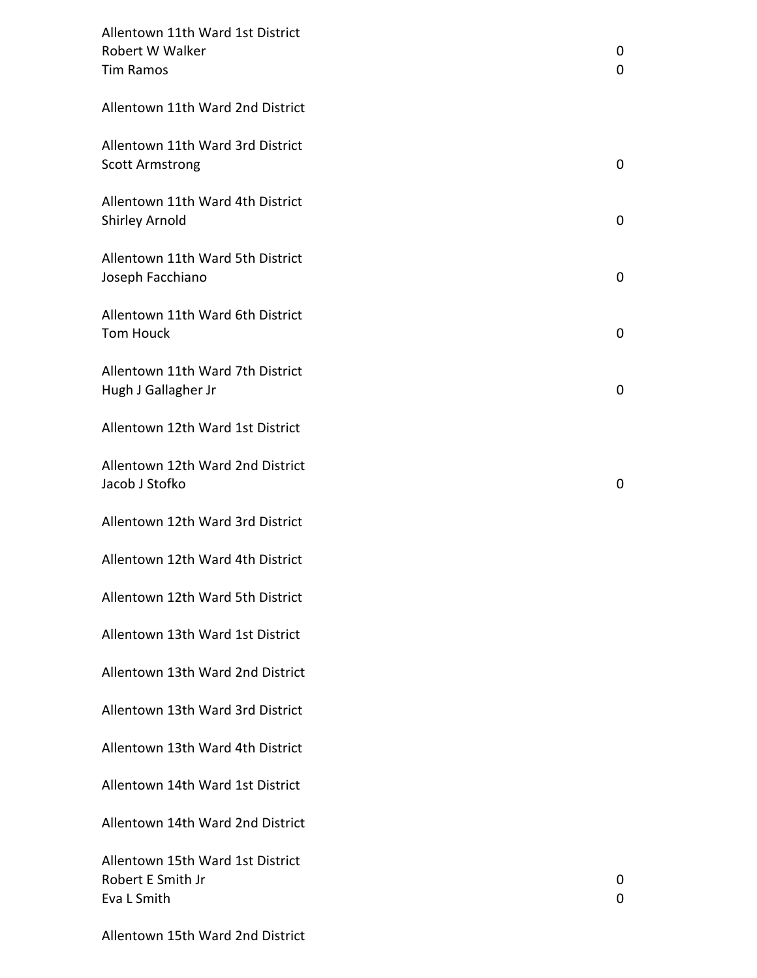| Allentown 11th Ward 1st District<br>Robert W Walker<br><b>Tim Ramos</b> | 0<br>0 |
|-------------------------------------------------------------------------|--------|
| Allentown 11th Ward 2nd District                                        |        |
| Allentown 11th Ward 3rd District<br><b>Scott Armstrong</b>              | 0      |
| Allentown 11th Ward 4th District<br>Shirley Arnold                      | 0      |
| Allentown 11th Ward 5th District<br>Joseph Facchiano                    | 0      |
| Allentown 11th Ward 6th District<br><b>Tom Houck</b>                    | 0      |
| Allentown 11th Ward 7th District<br>Hugh J Gallagher Jr                 | 0      |
| Allentown 12th Ward 1st District                                        |        |
| Allentown 12th Ward 2nd District<br>Jacob J Stofko                      | 0      |
| Allentown 12th Ward 3rd District                                        |        |
| Allentown 12th Ward 4th District                                        |        |
| Allentown 12th Ward 5th District                                        |        |
| Allentown 13th Ward 1st District                                        |        |
| Allentown 13th Ward 2nd District                                        |        |
| Allentown 13th Ward 3rd District                                        |        |
| Allentown 13th Ward 4th District                                        |        |
| Allentown 14th Ward 1st District                                        |        |
| Allentown 14th Ward 2nd District                                        |        |
| Allentown 15th Ward 1st District<br>Robert E Smith Jr<br>Eva L Smith    | 0<br>0 |

Allentown 15th Ward 2nd District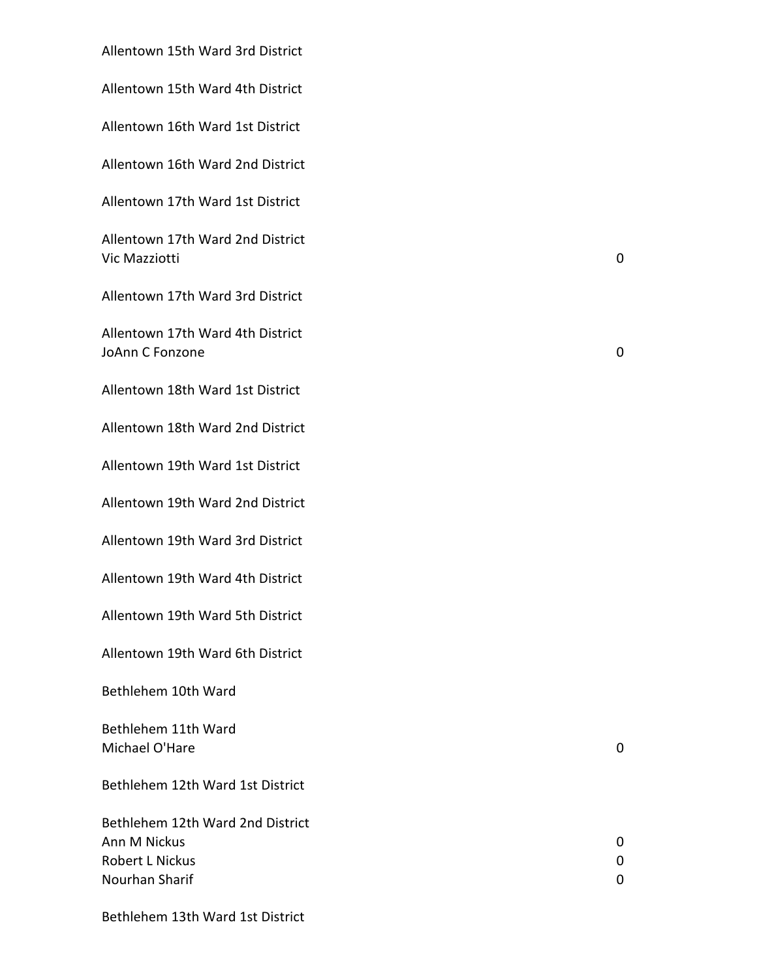Allentown 15th Ward 3rd District

Allentown 15th Ward 4th District

Allentown 16th Ward 1st District

Allentown 16th Ward 2nd District

Allentown 17th Ward 1st District

Allentown 17th Ward 2nd District Vic Mazziotti 0

Allentown 17th Ward 3rd District

Allentown 17th Ward 4th District JoAnn C Fonzone 0

Allentown 18th Ward 1st District

Allentown 18th Ward 2nd District

Allentown 19th Ward 1st District

Allentown 19th Ward 2nd District

Allentown 19th Ward 3rd District

Allentown 19th Ward 4th District

Allentown 19th Ward 5th District

Allentown 19th Ward 6th District

Bethlehem 10th Ward

Bethlehem 11th Ward Michael O'Hare 001 and 001 and 001 and 001 and 001 and 001 and 001 and 001 and 001 and 001 and 001 and 001 and 001 and 001 and 001 and 001 and 001 and 001 and 001 and 001 and 001 and 001 and 001 and 001 and 001 and 001 and

Bethlehem 12th Ward 1st District

Bethlehem 12th Ward 2nd District Ann M Nickus 0 Robert L Nickus 0 Nourhan Sharif 0

Bethlehem 13th Ward 1st District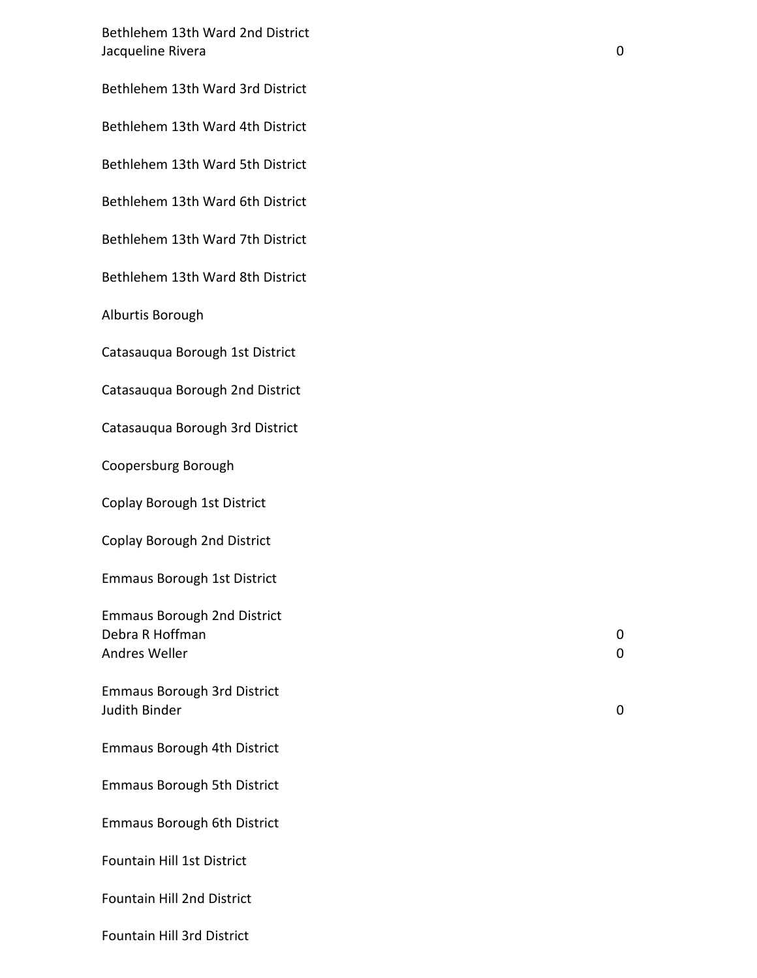Bethlehem 13th Ward 2nd District **Jacqueline Rivera** 0

Bethlehem 13th Ward 3rd District

Bethlehem 13th Ward 4th District

Bethlehem 13th Ward 5th District

Bethlehem 13th Ward 6th District

Bethlehem 13th Ward 7th District

Bethlehem 13th Ward 8th District

Alburtis Borough

Catasauqua Borough 1st District

Catasauqua Borough 2nd District

Catasauqua Borough 3rd District

Coopersburg Borough

Coplay Borough 1st District

Coplay Borough 2nd District

Emmaus Borough 1st District

Emmaus Borough 2nd District Debra R Hoffman 0 Andres Weller 0

Emmaus Borough 3rd District Judith Binder 0

Emmaus Borough 4th District

Emmaus Borough 5th District

Emmaus Borough 6th District

Fountain Hill 1st District

Fountain Hill 2nd District

Fountain Hill 3rd District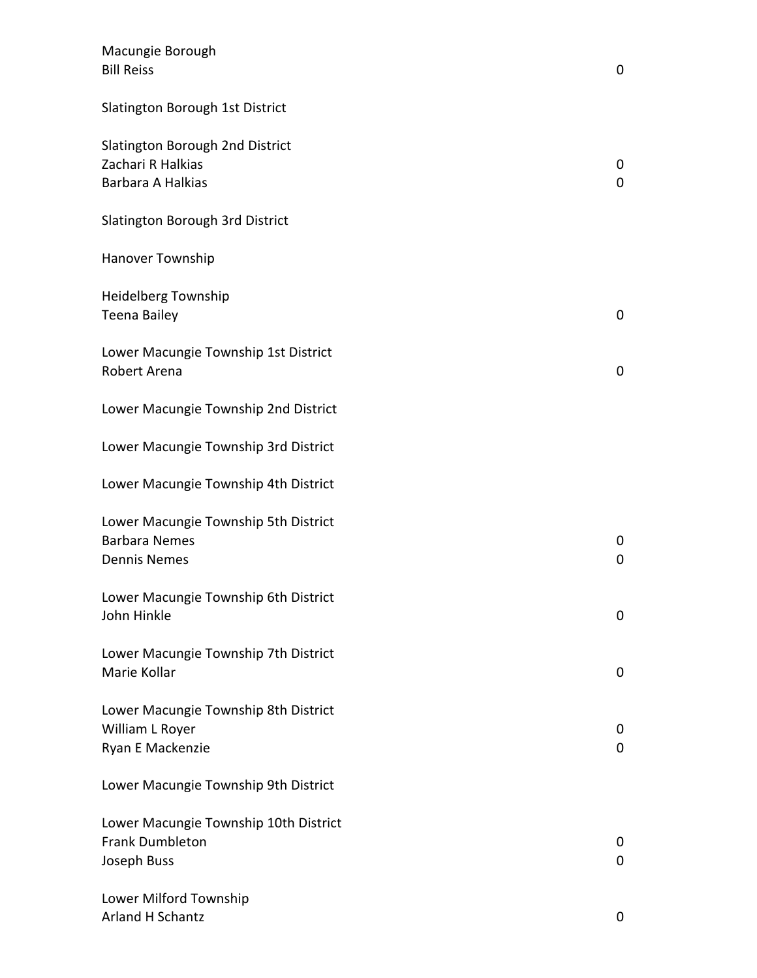| Macungie Borough<br><b>Bill Reiss</b>                                               | 0      |
|-------------------------------------------------------------------------------------|--------|
| Slatington Borough 1st District                                                     |        |
| Slatington Borough 2nd District<br>Zachari R Halkias<br>Barbara A Halkias           | 0<br>0 |
| Slatington Borough 3rd District                                                     |        |
| Hanover Township                                                                    |        |
| <b>Heidelberg Township</b><br><b>Teena Bailey</b>                                   | 0      |
| Lower Macungie Township 1st District<br>Robert Arena                                | 0      |
| Lower Macungie Township 2nd District                                                |        |
| Lower Macungie Township 3rd District                                                |        |
| Lower Macungie Township 4th District                                                |        |
| Lower Macungie Township 5th District<br><b>Barbara Nemes</b><br><b>Dennis Nemes</b> | 0<br>0 |
| Lower Macungie Township 6th District<br>John Hinkle                                 | 0      |
| Lower Macungie Township 7th District<br>Marie Kollar                                | 0      |
| Lower Macungie Township 8th District<br>William L Royer<br>Ryan E Mackenzie         | 0<br>0 |
| Lower Macungie Township 9th District                                                |        |
| Lower Macungie Township 10th District<br><b>Frank Dumbleton</b><br>Joseph Buss      | 0<br>0 |
| Lower Milford Township<br>Arland H Schantz                                          | 0      |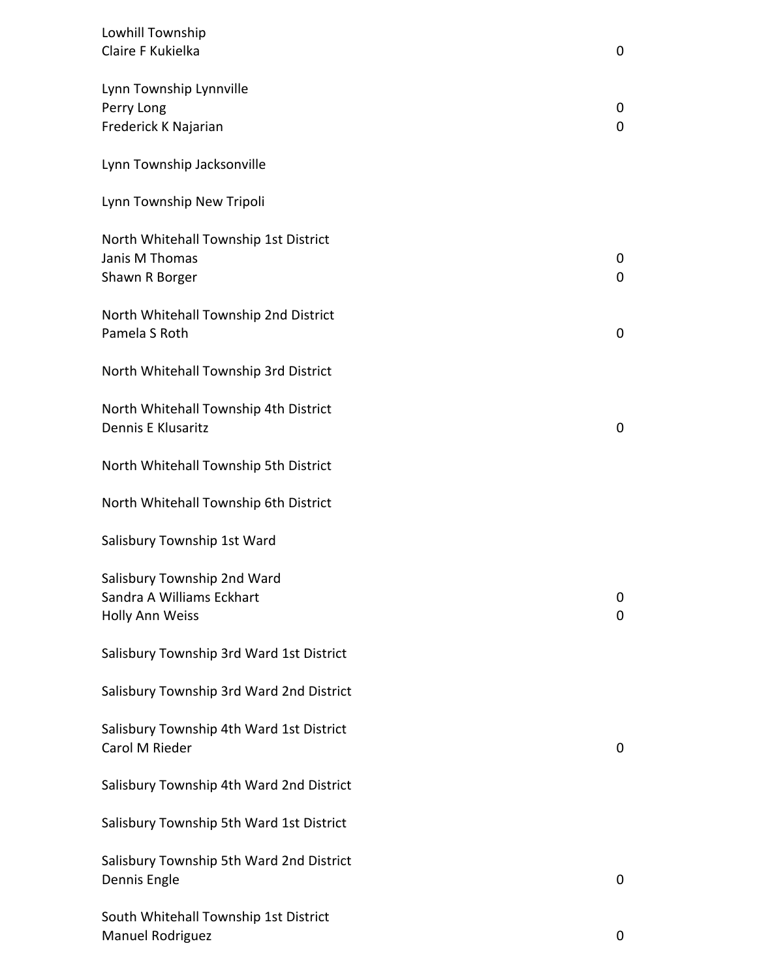| Lowhill Township                         |   |
|------------------------------------------|---|
| Claire F Kukielka                        | 0 |
| Lynn Township Lynnville                  |   |
| Perry Long                               | 0 |
| Frederick K Najarian                     | 0 |
| Lynn Township Jacksonville               |   |
| Lynn Township New Tripoli                |   |
| North Whitehall Township 1st District    |   |
| Janis M Thomas                           | 0 |
| Shawn R Borger                           | 0 |
| North Whitehall Township 2nd District    |   |
| Pamela S Roth                            | 0 |
| North Whitehall Township 3rd District    |   |
| North Whitehall Township 4th District    |   |
| Dennis E Klusaritz                       | 0 |
| North Whitehall Township 5th District    |   |
| North Whitehall Township 6th District    |   |
| Salisbury Township 1st Ward              |   |
| Salisbury Township 2nd Ward              |   |
| Sandra A Williams Eckhart                | 0 |
| Holly Ann Weiss                          | 0 |
| Salisbury Township 3rd Ward 1st District |   |
| Salisbury Township 3rd Ward 2nd District |   |
| Salisbury Township 4th Ward 1st District |   |
| Carol M Rieder                           | 0 |
| Salisbury Township 4th Ward 2nd District |   |
| Salisbury Township 5th Ward 1st District |   |
| Salisbury Township 5th Ward 2nd District |   |
| Dennis Engle                             | 0 |
| South Whitehall Township 1st District    |   |
| Manuel Rodriguez                         | 0 |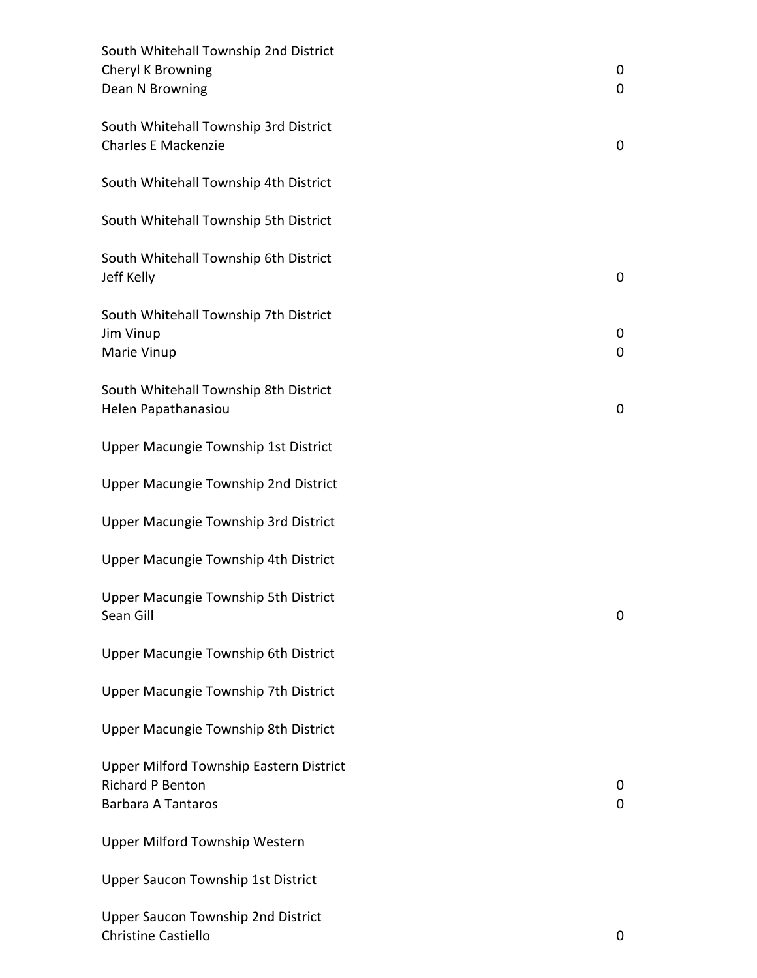| South Whitehall Township 2nd District<br>Cheryl K Browning<br>Dean N Browning                   | 0<br>$\mathbf 0$ |
|-------------------------------------------------------------------------------------------------|------------------|
| South Whitehall Township 3rd District<br><b>Charles E Mackenzie</b>                             | 0                |
| South Whitehall Township 4th District                                                           |                  |
| South Whitehall Township 5th District                                                           |                  |
| South Whitehall Township 6th District<br>Jeff Kelly                                             | 0                |
| South Whitehall Township 7th District<br>Jim Vinup<br>Marie Vinup                               | 0<br>0           |
| South Whitehall Township 8th District<br>Helen Papathanasiou                                    | 0                |
| Upper Macungie Township 1st District                                                            |                  |
| Upper Macungie Township 2nd District                                                            |                  |
| Upper Macungie Township 3rd District                                                            |                  |
| Upper Macungie Township 4th District                                                            |                  |
| Upper Macungie Township 5th District<br>Sean Gill                                               | 0                |
| Upper Macungie Township 6th District                                                            |                  |
| Upper Macungie Township 7th District                                                            |                  |
| Upper Macungie Township 8th District                                                            |                  |
| Upper Milford Township Eastern District<br><b>Richard P Benton</b><br><b>Barbara A Tantaros</b> | 0<br>0           |
| Upper Milford Township Western                                                                  |                  |
| <b>Upper Saucon Township 1st District</b>                                                       |                  |
| <b>Upper Saucon Township 2nd District</b><br>Christine Castiello                                | 0                |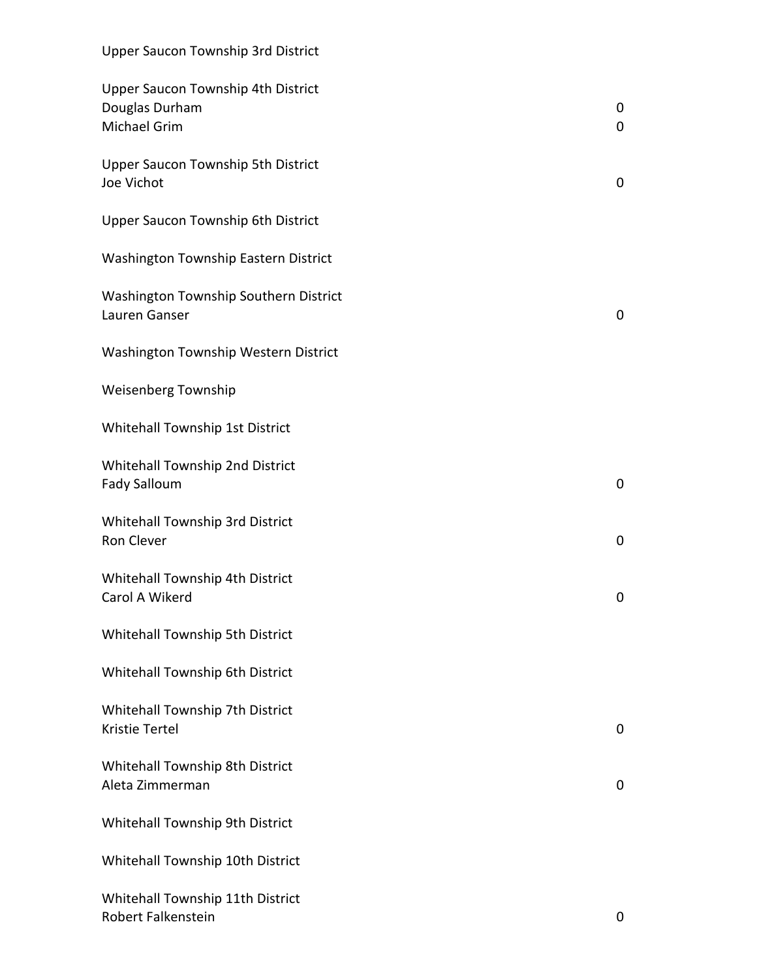## Upper Saucon Township 3rd District

| Upper Saucon Township 4th District<br>Douglas Durham<br><b>Michael Grim</b> | 0<br>$\mathbf 0$ |
|-----------------------------------------------------------------------------|------------------|
| Upper Saucon Township 5th District<br>Joe Vichot                            | $\mathbf 0$      |
| Upper Saucon Township 6th District                                          |                  |
| Washington Township Eastern District                                        |                  |
| Washington Township Southern District<br>Lauren Ganser                      | $\mathbf 0$      |
| Washington Township Western District                                        |                  |
| <b>Weisenberg Township</b>                                                  |                  |
| Whitehall Township 1st District                                             |                  |
| Whitehall Township 2nd District<br>Fady Salloum                             | $\mathbf 0$      |
| Whitehall Township 3rd District<br>Ron Clever                               | $\pmb{0}$        |
| Whitehall Township 4th District<br>Carol A Wikerd                           | $\mathbf 0$      |
| Whitehall Township 5th District                                             |                  |
| Whitehall Township 6th District                                             |                  |
| Whitehall Township 7th District<br><b>Kristie Tertel</b>                    | 0                |
| Whitehall Township 8th District<br>Aleta Zimmerman                          | 0                |
| Whitehall Township 9th District                                             |                  |
| Whitehall Township 10th District                                            |                  |
| Whitehall Township 11th District<br>Robert Falkenstein                      | 0                |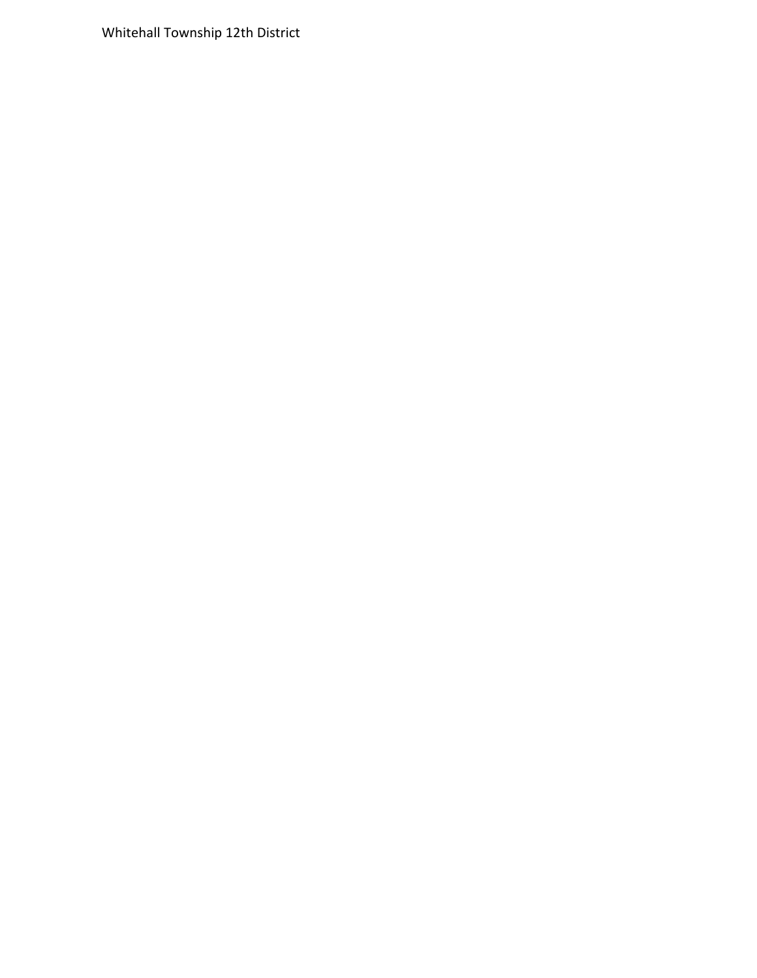Whitehall Township 12th District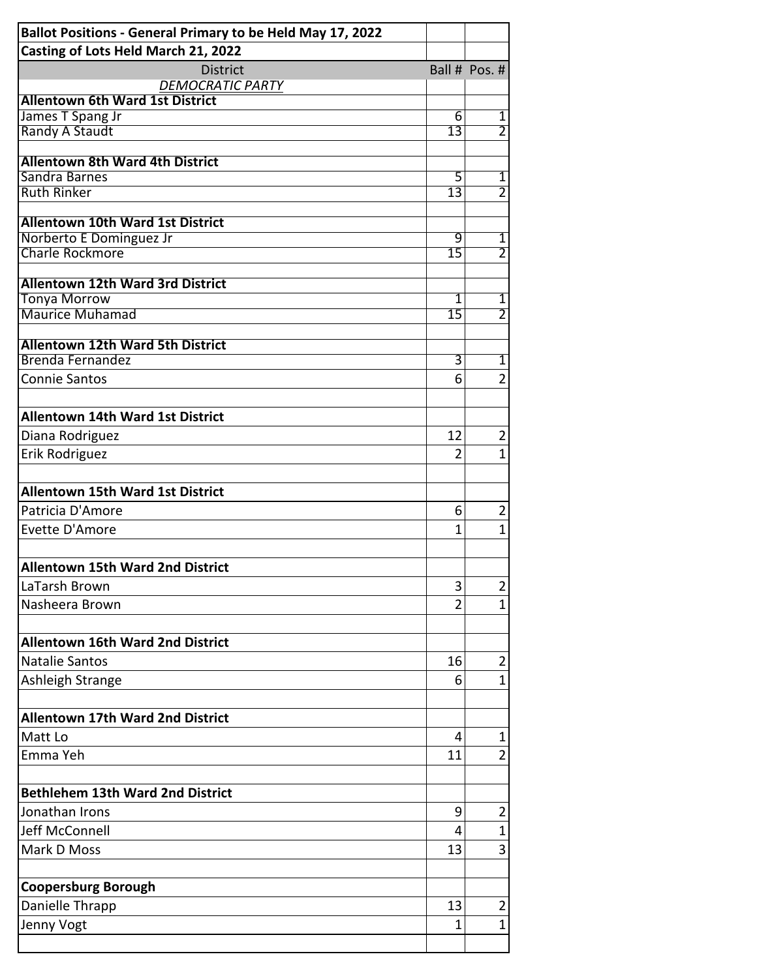| Ballot Positions - General Primary to be Held May 17, 2022         |                 |                |
|--------------------------------------------------------------------|-----------------|----------------|
| Casting of Lots Held March 21, 2022                                |                 |                |
| <b>District</b><br><b>DEMOCRATIC PARTY</b>                         |                 | Ball # Pos. #  |
| <b>Allentown 6th Ward 1st District</b>                             |                 |                |
| James T Spang Jr                                                   | 6               | 1              |
| <b>Randy A Staudt</b>                                              | $\overline{13}$ | $\overline{2}$ |
|                                                                    |                 |                |
| <b>Allentown 8th Ward 4th District</b><br>Sandra Barnes            | 5               | 1              |
| <b>Ruth Rinker</b>                                                 | $\overline{13}$ | $\overline{2}$ |
|                                                                    |                 |                |
| <b>Allentown 10th Ward 1st District</b>                            |                 |                |
| Norberto E Dominguez Jr                                            | 9               | 1              |
| <b>Charle Rockmore</b>                                             | $\overline{15}$ | $\overline{2}$ |
| <b>Allentown 12th Ward 3rd District</b>                            |                 |                |
| <b>Tonya Morrow</b>                                                | $\overline{1}$  | $\overline{1}$ |
| <b>Maurice Muhamad</b>                                             | $\overline{15}$ | $\overline{2}$ |
|                                                                    |                 |                |
| <b>Allentown 12th Ward 5th District</b><br><b>Brenda Fernandez</b> | 3               | $\overline{1}$ |
| <b>Connie Santos</b>                                               | 6               |                |
|                                                                    |                 | 2              |
|                                                                    |                 |                |
| <b>Allentown 14th Ward 1st District</b>                            |                 |                |
| Diana Rodriguez                                                    | 12              | $\overline{2}$ |
| Erik Rodriguez                                                     | $\overline{2}$  | 1              |
|                                                                    |                 |                |
| <b>Allentown 15th Ward 1st District</b>                            |                 |                |
| Patricia D'Amore                                                   | 6               | 2              |
| Evette D'Amore                                                     | 1               | $\mathbf 1$    |
| <b>Allentown 15th Ward 2nd District</b>                            |                 |                |
| LaTarsh Brown                                                      | 3               | $\overline{2}$ |
| Nasheera Brown                                                     | $\overline{2}$  |                |
|                                                                    |                 | 1              |
|                                                                    |                 |                |
| <b>Allentown 16th Ward 2nd District</b>                            |                 |                |
| <b>Natalie Santos</b>                                              | 16              | $\overline{2}$ |
| <b>Ashleigh Strange</b>                                            | 6               | 1              |
|                                                                    |                 |                |
| <b>Allentown 17th Ward 2nd District</b>                            |                 |                |
| Matt Lo                                                            | 4               | 1              |
| Emma Yeh                                                           | 11              | $\overline{2}$ |
|                                                                    |                 |                |
| <b>Bethlehem 13th Ward 2nd District</b>                            |                 |                |
| Jonathan Irons                                                     | 9               | $\overline{2}$ |
| Jeff McConnell                                                     | 4               | 1              |
| Mark D Moss                                                        | 13              | 3              |
|                                                                    |                 |                |
| <b>Coopersburg Borough</b>                                         |                 |                |
| Danielle Thrapp                                                    | 13              | $\overline{2}$ |
| Jenny Vogt                                                         | $\mathbf{1}$    | 1              |
|                                                                    |                 |                |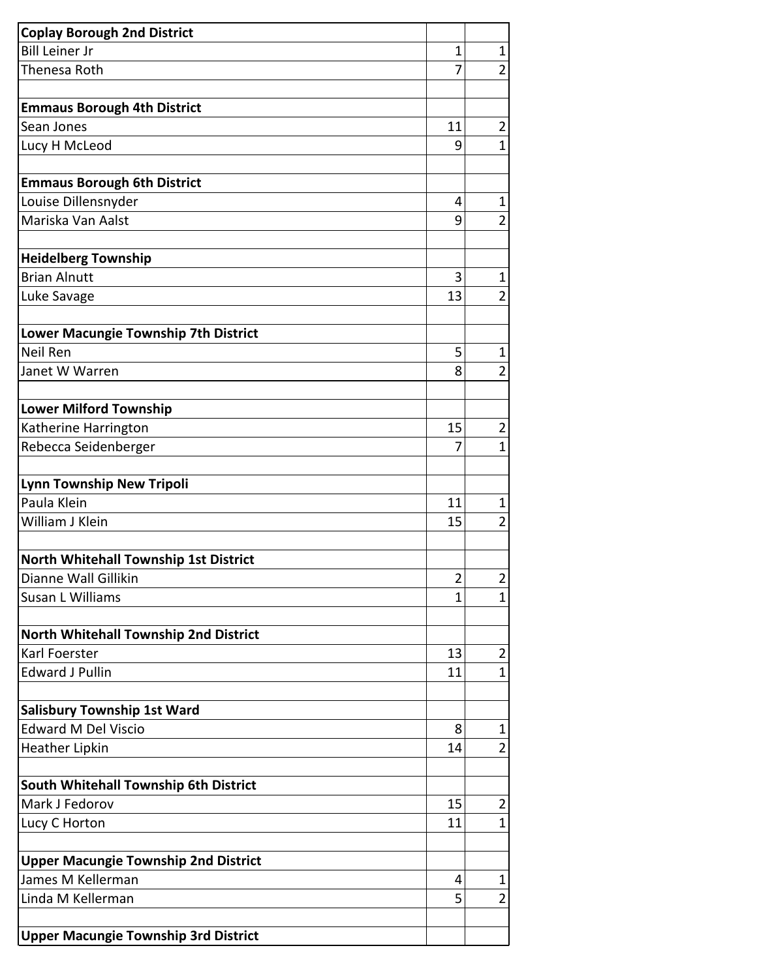| <b>Coplay Borough 2nd District</b>          |                |                |
|---------------------------------------------|----------------|----------------|
| <b>Bill Leiner Jr</b>                       | 1<br>7         | $\mathbf 1$    |
| Thenesa Roth                                |                | $\overline{2}$ |
| <b>Emmaus Borough 4th District</b>          |                |                |
| Sean Jones                                  | 11             | $\overline{2}$ |
| Lucy H McLeod                               | 9              | $\mathbf 1$    |
|                                             |                |                |
| <b>Emmaus Borough 6th District</b>          |                |                |
| Louise Dillensnyder                         | 4              | $\mathbf 1$    |
| Mariska Van Aalst                           | 9              | $\overline{2}$ |
| <b>Heidelberg Township</b>                  |                |                |
| <b>Brian Alnutt</b>                         | 3              | $\mathbf 1$    |
| Luke Savage                                 | 13             | $\overline{2}$ |
|                                             |                |                |
| Lower Macungie Township 7th District        |                |                |
| Neil Ren                                    | 5              | 1              |
| Janet W Warren                              | 8              | $\overline{2}$ |
| <b>Lower Milford Township</b>               |                |                |
| Katherine Harrington                        | 15             | $\overline{2}$ |
| Rebecca Seidenberger                        | 7              | $\mathbf 1$    |
|                                             |                |                |
| <b>Lynn Township New Tripoli</b>            |                |                |
| Paula Klein                                 | 11             | 1              |
| William J Klein                             | 15             | $\overline{2}$ |
| North Whitehall Township 1st District       |                |                |
| Dianne Wall Gillikin                        | $\overline{2}$ | $\overline{2}$ |
| Susan L Williams                            | $\mathbf{1}$   | $\mathbf 1$    |
|                                             |                |                |
| North Whitehall Township 2nd District       |                |                |
| Karl Foerster                               | 13             | $\overline{2}$ |
| <b>Edward J Pullin</b>                      | 11             | 1              |
| <b>Salisbury Township 1st Ward</b>          |                |                |
| <b>Edward M Del Viscio</b>                  | 8              | 1              |
| <b>Heather Lipkin</b>                       | 14             | $\overline{2}$ |
|                                             |                |                |
| South Whitehall Township 6th District       |                |                |
| Mark J Fedorov                              | 15             | $\overline{2}$ |
| Lucy C Horton                               | 11             | $\mathbf 1$    |
| <b>Upper Macungie Township 2nd District</b> |                |                |
| James M Kellerman                           | 4              | 1              |
| Linda M Kellerman                           | 5              | $\overline{2}$ |
|                                             |                |                |
| <b>Upper Macungie Township 3rd District</b> |                |                |
|                                             |                |                |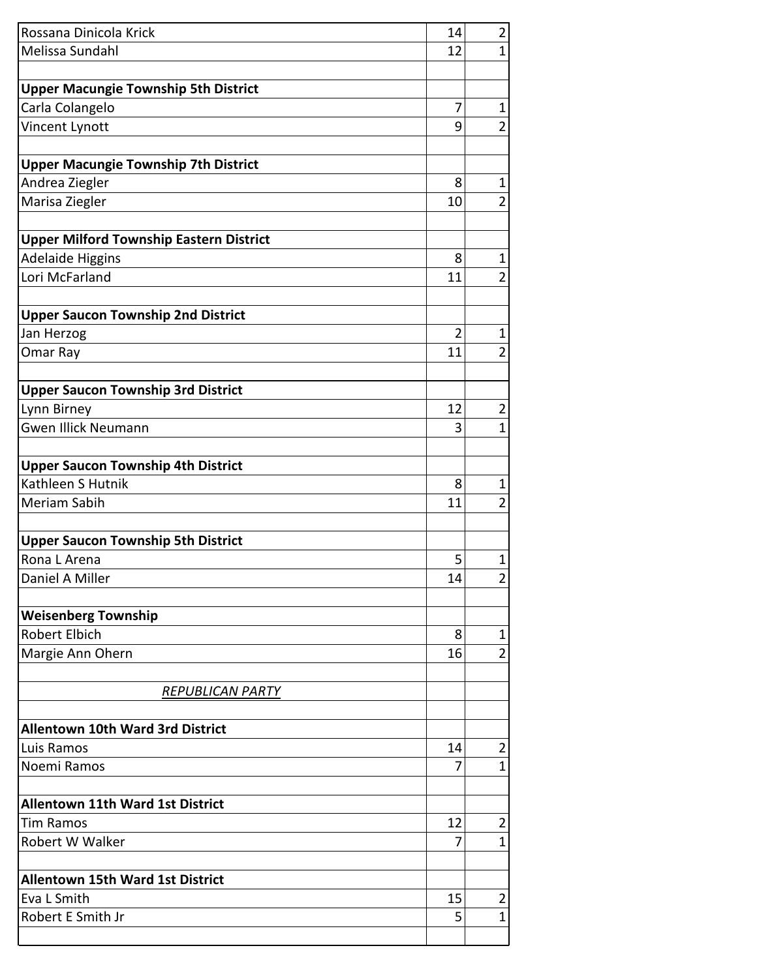| Rossana Dinicola Krick                                | 14             | $\overline{2}$ |
|-------------------------------------------------------|----------------|----------------|
| Melissa Sundahl                                       | 12             | $\mathbf{1}$   |
|                                                       |                |                |
| <b>Upper Macungie Township 5th District</b>           |                |                |
| Carla Colangelo                                       | 7              | $\mathbf 1$    |
| Vincent Lynott                                        | 9              | $\overline{2}$ |
|                                                       |                |                |
| <b>Upper Macungie Township 7th District</b>           |                |                |
| Andrea Ziegler                                        | 8              | $\mathbf 1$    |
| Marisa Ziegler                                        | 10             | $\overline{2}$ |
| <b>Upper Milford Township Eastern District</b>        |                |                |
| <b>Adelaide Higgins</b>                               | 8              | $\mathbf{1}$   |
| Lori McFarland                                        | 11             | $\overline{2}$ |
|                                                       |                |                |
| <b>Upper Saucon Township 2nd District</b>             |                |                |
| Jan Herzog                                            | $\overline{2}$ | $\mathbf 1$    |
| Omar Ray                                              | 11             | $\overline{2}$ |
| <b>Upper Saucon Township 3rd District</b>             |                |                |
| Lynn Birney                                           | 12             | $\overline{2}$ |
| <b>Gwen Illick Neumann</b>                            | 3              | $\mathbf{1}$   |
|                                                       |                |                |
| <b>Upper Saucon Township 4th District</b>             |                |                |
| Kathleen S Hutnik                                     | 8              | $\mathbf{1}$   |
| Meriam Sabih                                          | 11             | $\overline{2}$ |
| <b>Upper Saucon Township 5th District</b>             |                |                |
| Rona L Arena                                          | 5              | $\mathbf 1$    |
| Daniel A Miller                                       | 14             | 2              |
|                                                       |                |                |
| <b>Weisenberg Township</b><br><b>Robert Elbich</b>    | 8              | $\mathbf 1$    |
| Margie Ann Ohern                                      | 16             | $\overline{2}$ |
|                                                       |                |                |
| <b>REPUBLICAN PARTY</b>                               |                |                |
|                                                       |                |                |
| <b>Allentown 10th Ward 3rd District</b><br>Luis Ramos | 14             | $\overline{2}$ |
| Noemi Ramos                                           | 7              | $\mathbf 1$    |
|                                                       |                |                |
| <b>Allentown 11th Ward 1st District</b>               |                |                |
| <b>Tim Ramos</b>                                      | 12             | $\overline{2}$ |
| Robert W Walker                                       | 7              | $\mathbf 1$    |
| <b>Allentown 15th Ward 1st District</b>               |                |                |
| Eva L Smith                                           | 15             | $\overline{2}$ |
| Robert E Smith Jr                                     | 5              | 1              |
|                                                       |                |                |
|                                                       |                |                |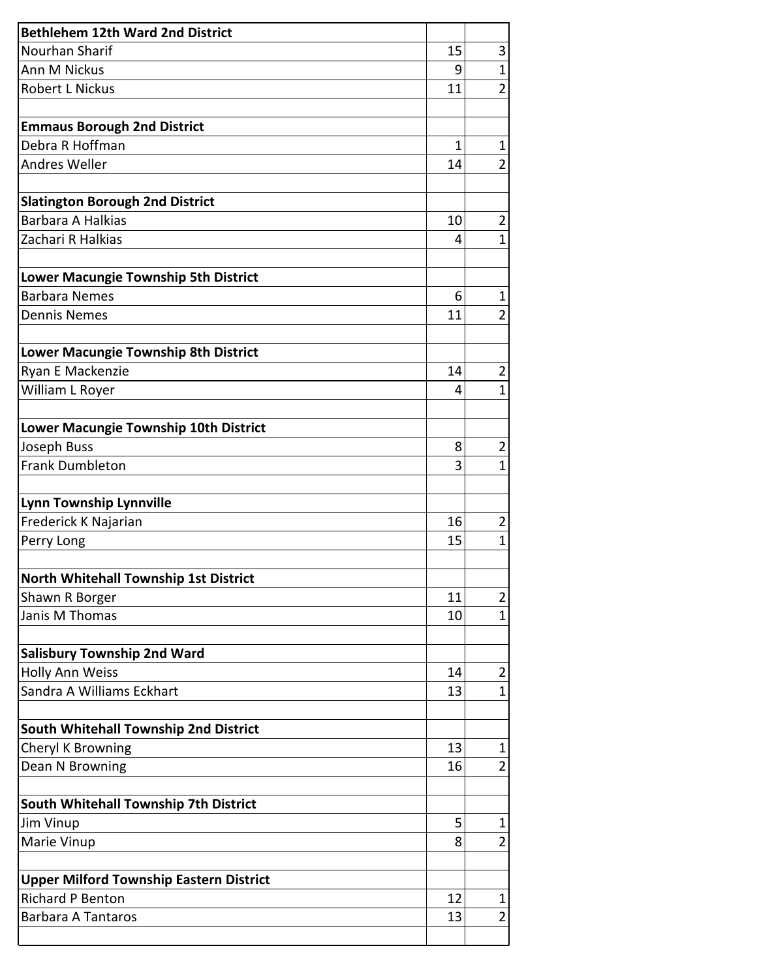| <b>Bethlehem 12th Ward 2nd District</b>                                   |              |                |
|---------------------------------------------------------------------------|--------------|----------------|
| Nourhan Sharif                                                            | 15           | 3              |
| Ann M Nickus                                                              | 9            | $\mathbf{1}$   |
| <b>Robert L Nickus</b>                                                    | 11           | $\overline{2}$ |
| <b>Emmaus Borough 2nd District</b>                                        |              |                |
| Debra R Hoffman                                                           | $\mathbf{1}$ | 1              |
| Andres Weller                                                             | 14           | $\overline{2}$ |
| <b>Slatington Borough 2nd District</b>                                    |              |                |
| <b>Barbara A Halkias</b>                                                  | 10           | $\overline{2}$ |
| Zachari R Halkias                                                         | 4            | 1              |
| Lower Macungie Township 5th District                                      |              |                |
| <b>Barbara Nemes</b>                                                      | 6            | $\mathbf 1$    |
| <b>Dennis Nemes</b>                                                       | 11           | $\overline{2}$ |
| Lower Macungie Township 8th District                                      |              |                |
| Ryan E Mackenzie                                                          | 14           | $\overline{2}$ |
| William L Royer                                                           | 4            | 1              |
|                                                                           |              |                |
| Lower Macungie Township 10th District                                     |              |                |
| Joseph Buss                                                               | 8            | $\overline{2}$ |
| <b>Frank Dumbleton</b>                                                    | 3            | $\mathbf{1}$   |
| <b>Lynn Township Lynnville</b>                                            |              |                |
| Frederick K Najarian                                                      | 16           | $\overline{2}$ |
| Perry Long                                                                | 15           | $\mathbf{1}$   |
| North Whitehall Township 1st District                                     |              |                |
| Shawn R Borger                                                            | 11           | 2              |
| Janis M Thomas                                                            | 10           | 1              |
| <b>Salisbury Township 2nd Ward</b>                                        |              |                |
| <b>Holly Ann Weiss</b>                                                    | 14           | $\overline{2}$ |
| Sandra A Williams Eckhart                                                 | 13           | 1              |
| South Whitehall Township 2nd District                                     |              |                |
| Cheryl K Browning                                                         | 13           | 1              |
| Dean N Browning                                                           | 16           | $\overline{2}$ |
| South Whitehall Township 7th District                                     |              |                |
| Jim Vinup                                                                 | 5            | 1              |
| Marie Vinup                                                               | 8            | 2              |
|                                                                           |              |                |
| <b>Upper Milford Township Eastern District</b><br><b>Richard P Benton</b> | 12           |                |
| <b>Barbara A Tantaros</b>                                                 | 13           | 1<br>2         |
|                                                                           |              |                |
|                                                                           |              |                |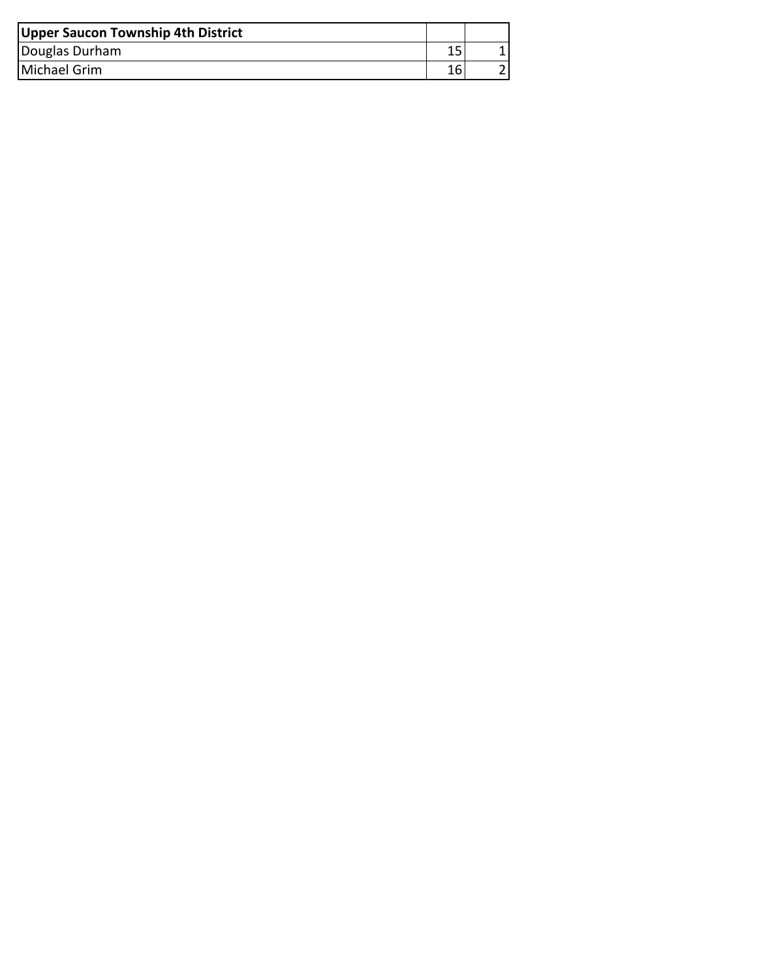| Upper Saucon Township 4th District |  |
|------------------------------------|--|
| Douglas Durham                     |  |
| Michael Grim                       |  |